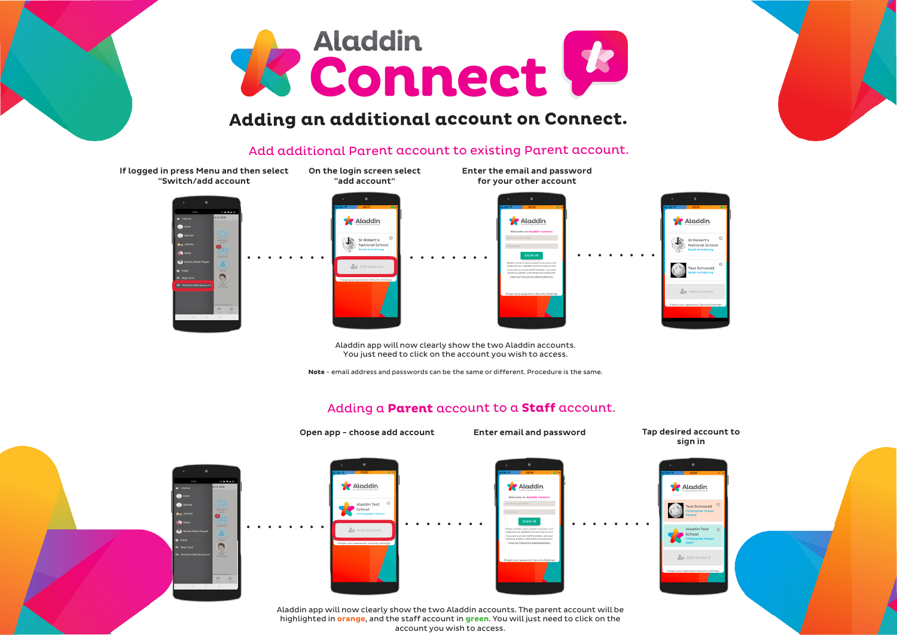

## **Adding an additional account on Connect.**

## Add additional Parent account to existing Parent account.



## Adding a **Parent** account to a **Staff** account.